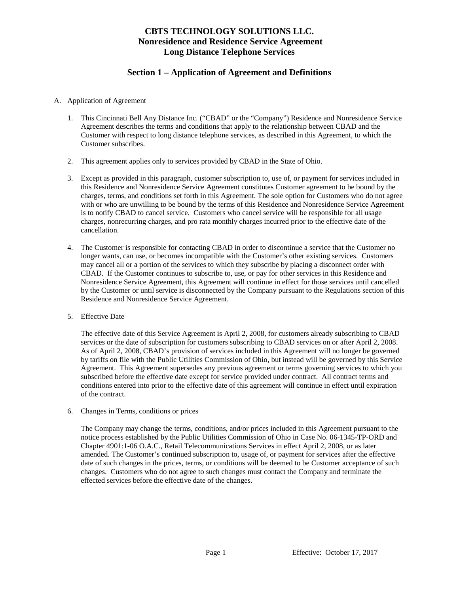# **CBTS TECHNOLOGY SOLUTIONS LLC. Nonresidence and Residence Service Agreement Long Distance Telephone Services**

# **Section 1 – Application of Agreement and Definitions**

#### A. Application of Agreement

- 1. This Cincinnati Bell Any Distance Inc. ("CBAD" or the "Company") Residence and Nonresidence Service Agreement describes the terms and conditions that apply to the relationship between CBAD and the Customer with respect to long distance telephone services, as described in this Agreement, to which the Customer subscribes.
- 2. This agreement applies only to services provided by CBAD in the State of Ohio.
- 3. Except as provided in this paragraph, customer subscription to, use of, or payment for services included in this Residence and Nonresidence Service Agreement constitutes Customer agreement to be bound by the charges, terms, and conditions set forth in this Agreement. The sole option for Customers who do not agree with or who are unwilling to be bound by the terms of this Residence and Nonresidence Service Agreement is to notify CBAD to cancel service. Customers who cancel service will be responsible for all usage charges, nonrecurring charges, and pro rata monthly charges incurred prior to the effective date of the cancellation.
- 4. The Customer is responsible for contacting CBAD in order to discontinue a service that the Customer no longer wants, can use, or becomes incompatible with the Customer's other existing services. Customers may cancel all or a portion of the services to which they subscribe by placing a disconnect order with CBAD. If the Customer continues to subscribe to, use, or pay for other services in this Residence and Nonresidence Service Agreement, this Agreement will continue in effect for those services until cancelled by the Customer or until service is disconnected by the Company pursuant to the Regulations section of this Residence and Nonresidence Service Agreement.
- 5. Effective Date

The effective date of this Service Agreement is April 2, 2008, for customers already subscribing to CBAD services or the date of subscription for customers subscribing to CBAD services on or after April 2, 2008. As of April 2, 2008, CBAD's provision of services included in this Agreement will no longer be governed by tariffs on file with the Public Utilities Commission of Ohio, but instead will be governed by this Service Agreement. This Agreement supersedes any previous agreement or terms governing services to which you subscribed before the effective date except for service provided under contract. All contract terms and conditions entered into prior to the effective date of this agreement will continue in effect until expiration of the contract.

6. Changes in Terms, conditions or prices

The Company may change the terms, conditions, and/or prices included in this Agreement pursuant to the notice process established by the Public Utilities Commission of Ohio in Case No. 06-1345-TP-ORD and Chapter 4901:1-06 O.A.C., Retail Telecommunications Services in effect April 2, 2008, or as later amended. The Customer's continued subscription to, usage of, or payment for services after the effective date of such changes in the prices, terms, or conditions will be deemed to be Customer acceptance of such changes. Customers who do not agree to such changes must contact the Company and terminate the effected services before the effective date of the changes.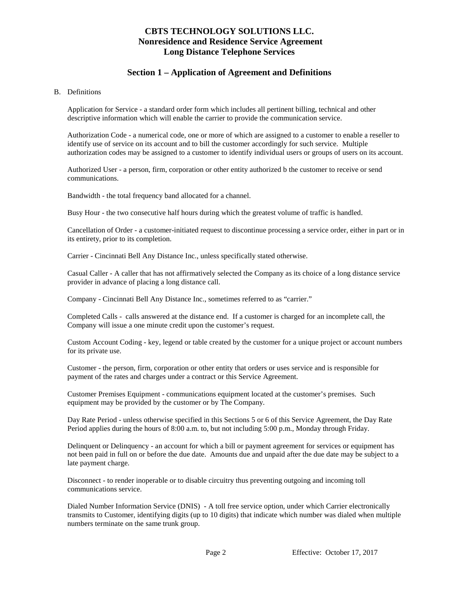# **CBTS TECHNOLOGY SOLUTIONS LLC. Nonresidence and Residence Service Agreement Long Distance Telephone Services**

# **Section 1 – Application of Agreement and Definitions**

#### B. Definitions

Application for Service - a standard order form which includes all pertinent billing, technical and other descriptive information which will enable the carrier to provide the communication service.

Authorization Code - a numerical code, one or more of which are assigned to a customer to enable a reseller to identify use of service on its account and to bill the customer accordingly for such service. Multiple authorization codes may be assigned to a customer to identify individual users or groups of users on its account.

Authorized User - a person, firm, corporation or other entity authorized b the customer to receive or send communications.

Bandwidth - the total frequency band allocated for a channel.

Busy Hour - the two consecutive half hours during which the greatest volume of traffic is handled.

Cancellation of Order - a customer-initiated request to discontinue processing a service order, either in part or in its entirety, prior to its completion.

Carrier - Cincinnati Bell Any Distance Inc., unless specifically stated otherwise.

Casual Caller - A caller that has not affirmatively selected the Company as its choice of a long distance service provider in advance of placing a long distance call.

Company - Cincinnati Bell Any Distance Inc., sometimes referred to as "carrier."

Completed Calls - calls answered at the distance end. If a customer is charged for an incomplete call, the Company will issue a one minute credit upon the customer's request.

Custom Account Coding - key, legend or table created by the customer for a unique project or account numbers for its private use.

Customer - the person, firm, corporation or other entity that orders or uses service and is responsible for payment of the rates and charges under a contract or this Service Agreement.

Customer Premises Equipment - communications equipment located at the customer's premises. Such equipment may be provided by the customer or by The Company.

Day Rate Period - unless otherwise specified in this Sections 5 or 6 of this Service Agreement, the Day Rate Period applies during the hours of 8:00 a.m. to, but not including 5:00 p.m., Monday through Friday.

Delinquent or Delinquency - an account for which a bill or payment agreement for services or equipment has not been paid in full on or before the due date. Amounts due and unpaid after the due date may be subject to a late payment charge.

Disconnect - to render inoperable or to disable circuitry thus preventing outgoing and incoming toll communications service.

Dialed Number Information Service (DNIS) - A toll free service option, under which Carrier electronically transmits to Customer, identifying digits (up to 10 digits) that indicate which number was dialed when multiple numbers terminate on the same trunk group.